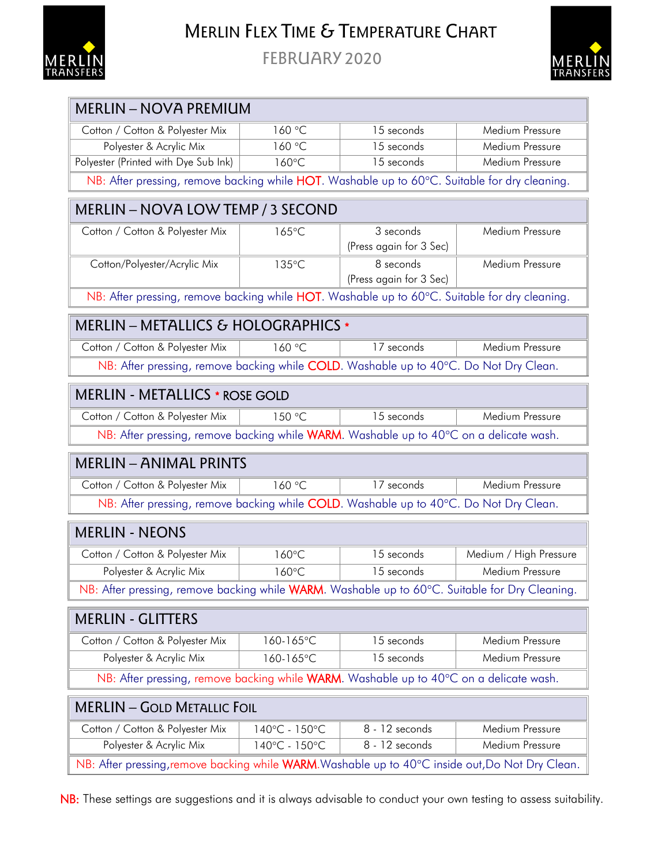

## MERLIN FLEX TIME & TEMPERATURE CHART

FEBRUARY 2020



| <b>MERLIN - NOVA PREMIUM</b>                                                                     |               |                         |                        |  |
|--------------------------------------------------------------------------------------------------|---------------|-------------------------|------------------------|--|
| Cotton / Cotton & Polyester Mix                                                                  | 160 °C        | 15 seconds              | Medium Pressure        |  |
| Polyester & Acrylic Mix                                                                          | 160 °C        | 15 seconds              | Medium Pressure        |  |
| Polyester (Printed with Dye Sub Ink)                                                             | 160°C         | 15 seconds              | Medium Pressure        |  |
| NB: After pressing, remove backing while HOT. Washable up to 60°C. Suitable for dry cleaning.    |               |                         |                        |  |
| MERLIN - NOVA LOW TEMP / 3 SECOND                                                                |               |                         |                        |  |
| Cotton / Cotton & Polyester Mix                                                                  | 165°C         | 3 seconds               | Medium Pressure        |  |
|                                                                                                  |               | (Press again for 3 Sec) |                        |  |
| Cotton/Polyester/Acrylic Mix                                                                     | 135°C         | 8 seconds               | Medium Pressure        |  |
|                                                                                                  |               | (Press again for 3 Sec) |                        |  |
| NB: After pressing, remove backing while HOT. Washable up to 60°C. Suitable for dry cleaning.    |               |                         |                        |  |
| MERLIN - METALLICS & HOLOGRAPHICS *                                                              |               |                         |                        |  |
| Cotton / Cotton & Polyester Mix                                                                  | 160 °C        | 17 seconds              | Medium Pressure        |  |
| NB: After pressing, remove backing while COLD. Washable up to 40°C. Do Not Dry Clean.            |               |                         |                        |  |
| <b>MERLIN - METALLICS * ROSE GOLD</b>                                                            |               |                         |                        |  |
| Cotton / Cotton & Polyester Mix                                                                  | 150 °C        | 15 seconds              | Medium Pressure        |  |
| NB: After pressing, remove backing while WARM. Washable up to 40°C on a delicate wash.           |               |                         |                        |  |
| <b>MERLIN - ANIMAL PRINTS</b>                                                                    |               |                         |                        |  |
| Cotton / Cotton & Polyester Mix                                                                  | 160 °C        | 17 seconds              | Medium Pressure        |  |
| NB: After pressing, remove backing while COLD. Washable up to 40°C. Do Not Dry Clean.            |               |                         |                        |  |
| <b>MERLIN - NEONS</b>                                                                            |               |                         |                        |  |
| Cotton / Cotton & Polyester Mix                                                                  | 160°C         | 15 seconds              | Medium / High Pressure |  |
| Polyester & Acrylic Mix                                                                          | 160°C         | 15 seconds              | Medium Pressure        |  |
| NB: After pressing, remove backing while WARM. Washable up to 60°C. Suitable for Dry Cleaning.   |               |                         |                        |  |
| <b>MERLIN - GLITTERS</b>                                                                         |               |                         |                        |  |
| Cotton / Cotton & Polyester Mix                                                                  | 160-165°C     | 15 seconds              | Medium Pressure        |  |
| Polyester & Acrylic Mix                                                                          | 160-165°C     | 15 seconds              | Medium Pressure        |  |
| NB: After pressing, remove backing while WARM. Washable up to 40°C on a delicate wash.           |               |                         |                        |  |
| <b>MERLIN - GOLD METALLIC FOIL</b>                                                               |               |                         |                        |  |
| Cotton / Cotton & Polyester Mix                                                                  | 140°C - 150°C | 8 - 12 seconds          | Medium Pressure        |  |
| Polyester & Acrylic Mix                                                                          | 140°C - 150°C | 8 - 12 seconds          | Medium Pressure        |  |
| NB: After pressing, remove backing while WARM. Washable up to 40°C inside out, Do Not Dry Clean. |               |                         |                        |  |

NB: These settings are suggestions and it is always advisable to conduct your own testing to assess suitability.